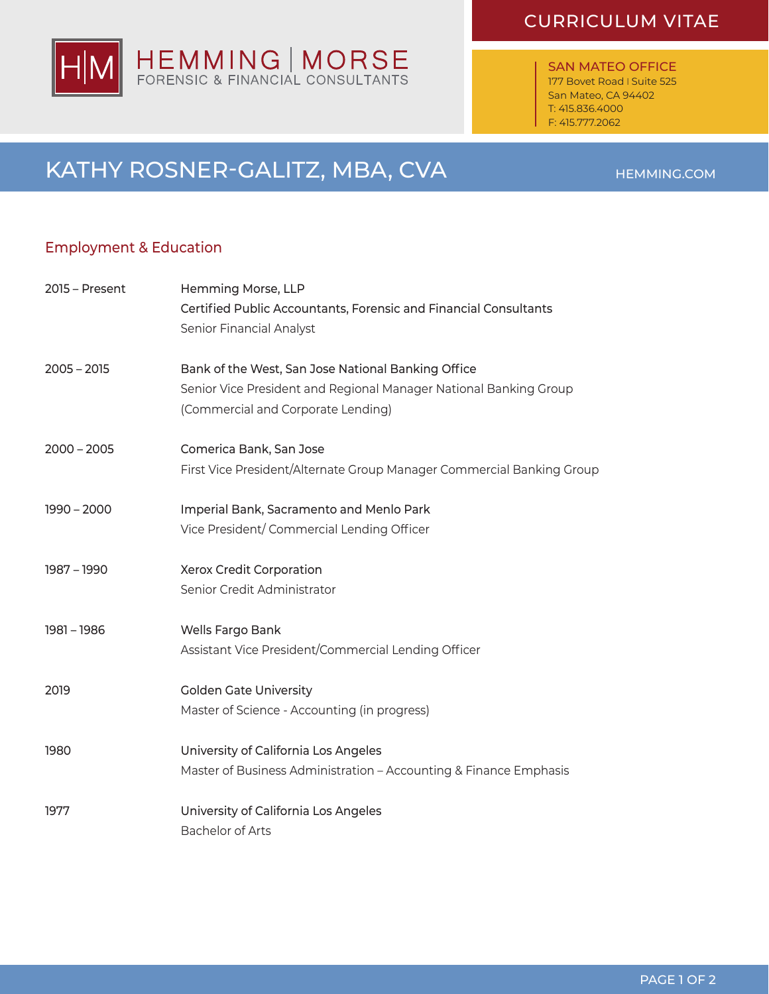## HEMMING | MORSE<br>FORENSIC & FINANCIAL CONSULTANTS lΗ

## CURRICULUM VITAE

SAN MATEO OFFICE 177 Bovet Road I Suite 525 San Mateo, CA 94402 T: 415.836.4000 F: 415.777.2062

## KATHY ROSNER-GALITZ, MBA, CVA

### Employment & Education

| 2015 - Present | Hemming Morse, LLP<br>Certified Public Accountants, Forensic and Financial Consultants<br>Senior Financial Analyst                                            |
|----------------|---------------------------------------------------------------------------------------------------------------------------------------------------------------|
| $2005 - 2015$  | Bank of the West, San Jose National Banking Office<br>Senior Vice President and Regional Manager National Banking Group<br>(Commercial and Corporate Lending) |
| $2000 - 2005$  | Comerica Bank, San Jose<br>First Vice President/Alternate Group Manager Commercial Banking Group                                                              |
| $1990 - 2000$  | Imperial Bank, Sacramento and Menlo Park<br>Vice President/Commercial Lending Officer                                                                         |
| 1987 - 1990    | Xerox Credit Corporation<br>Senior Credit Administrator                                                                                                       |
| 1981 - 1986    | Wells Fargo Bank<br>Assistant Vice President/Commercial Lending Officer                                                                                       |
| 2019           | <b>Golden Gate University</b><br>Master of Science - Accounting (in progress)                                                                                 |
| 1980           | University of California Los Angeles<br>Master of Business Administration - Accounting & Finance Emphasis                                                     |
| 1977           | University of California Los Angeles<br><b>Bachelor of Arts</b>                                                                                               |

#### HEMMING.COM